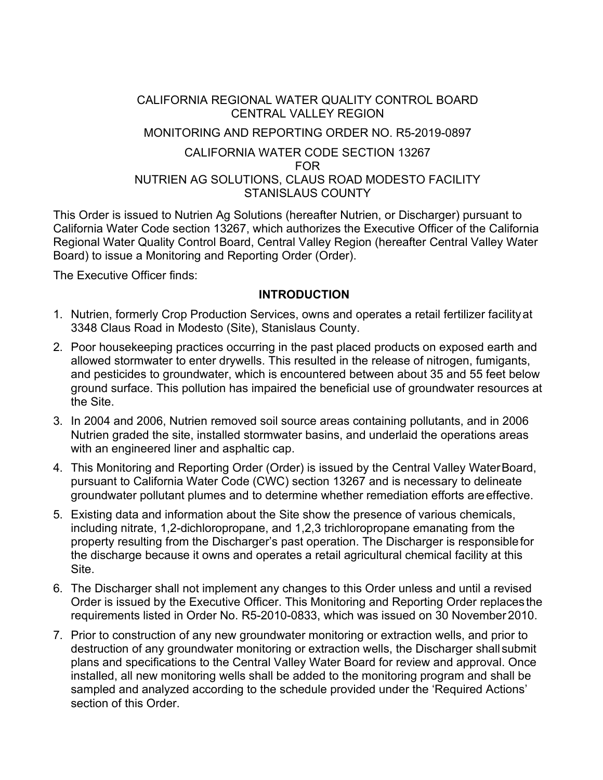## CALIFORNIA REGIONAL WATER QUALITY CONTROL BOARD CENTRAL VALLEY REGION

### MONITORING AND REPORTING ORDER NO. R5-2019-0897

### CALIFORNIA WATER CODE SECTION 13267 FOR NUTRIEN AG SOLUTIONS, CLAUS ROAD MODESTO FACILITY STANISLAUS COUNTY

This Order is issued to Nutrien Ag Solutions (hereafter Nutrien, or Discharger) pursuant to California Water Code section 13267, which authorizes the Executive Officer of the California Regional Water Quality Control Board, Central Valley Region (hereafter Central Valley Water Board) to issue a Monitoring and Reporting Order (Order).

The Executive Officer finds:

# **INTRODUCTION**

- 1. Nutrien, formerly Crop Production Services, owns and operates a retail fertilizer facilityat 3348 Claus Road in Modesto (Site), Stanislaus County.
- 2. Poor housekeeping practices occurring in the past placed products on exposed earth and allowed stormwater to enter drywells. This resulted in the release of nitrogen, fumigants, and pesticides to groundwater, which is encountered between about 35 and 55 feet below ground surface. This pollution has impaired the beneficial use of groundwater resources at the Site.
- 3. In 2004 and 2006, Nutrien removed soil source areas containing pollutants, and in 2006 Nutrien graded the site, installed stormwater basins, and underlaid the operations areas with an engineered liner and asphaltic cap.
- 4. This Monitoring and Reporting Order (Order) is issued by the Central Valley WaterBoard, pursuant to California Water Code (CWC) section 13267 and is necessary to delineate groundwater pollutant plumes and to determine whether remediation efforts areeffective.
- 5. Existing data and information about the Site show the presence of various chemicals, including nitrate, 1,2-dichloropropane, and 1,2,3 trichloropropane emanating from the property resulting from the Discharger's past operation. The Discharger is responsiblefor the discharge because it owns and operates a retail agricultural chemical facility at this Site.
- 6. The Discharger shall not implement any changes to this Order unless and until a revised Order is issued by the Executive Officer. This Monitoring and Reporting Order replacesthe requirements listed in Order No. R5-2010-0833, which was issued on 30 November2010.
- 7. Prior to construction of any new groundwater monitoring or extraction wells, and prior to destruction of any groundwater monitoring or extraction wells, the Discharger shallsubmit plans and specifications to the Central Valley Water Board for review and approval. Once installed, all new monitoring wells shall be added to the monitoring program and shall be sampled and analyzed according to the schedule provided under the 'Required Actions' section of this Order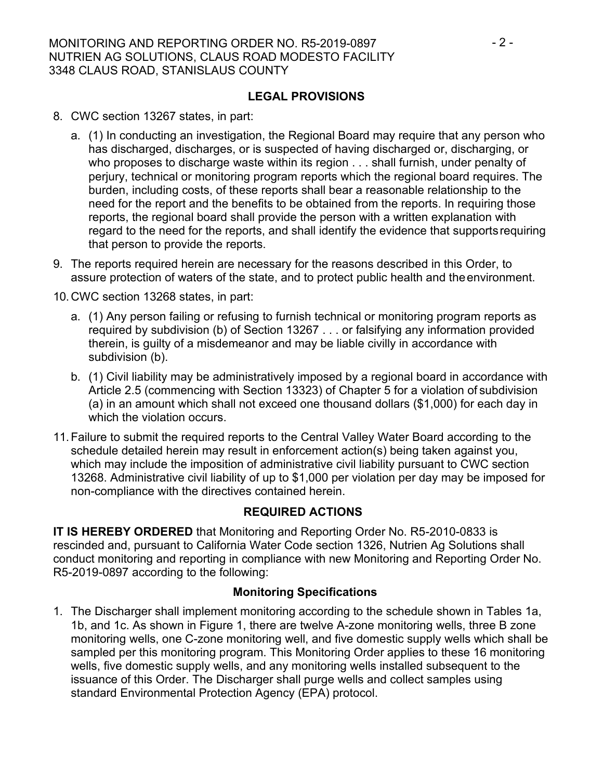## **LEGAL PROVISIONS**

- 8. CWC section 13267 states, in part:
	- a. (1) In conducting an investigation, the Regional Board may require that any person who has discharged, discharges, or is suspected of having discharged or, discharging, or who proposes to discharge waste within its region . . . shall furnish, under penalty of perjury, technical or monitoring program reports which the regional board requires. The burden, including costs, of these reports shall bear a reasonable relationship to the need for the report and the benefits to be obtained from the reports. In requiring those reports, the regional board shall provide the person with a written explanation with regard to the need for the reports, and shall identify the evidence that supportsrequiring that person to provide the reports.
- 9. The reports required herein are necessary for the reasons described in this Order, to assure protection of waters of the state, and to protect public health and theenvironment.
- 10.CWC section 13268 states, in part:
	- a. (1) Any person failing or refusing to furnish technical or monitoring program reports as required by subdivision (b) of Section 13267 . . . or falsifying any information provided therein, is guilty of a misdemeanor and may be liable civilly in accordance with subdivision (b).
	- b. (1) Civil liability may be administratively imposed by a regional board in accordance with Article 2.5 (commencing with Section 13323) of Chapter 5 for a violation of subdivision (a) in an amount which shall not exceed one thousand dollars (\$1,000) for each day in which the violation occurs.
- 11.Failure to submit the required reports to the Central Valley Water Board according to the schedule detailed herein may result in enforcement action(s) being taken against you, which may include the imposition of administrative civil liability pursuant to CWC section 13268. Administrative civil liability of up to \$1,000 per violation per day may be imposed for non-compliance with the directives contained herein.

# **REQUIRED ACTIONS**

**IT IS HEREBY ORDERED** that Monitoring and Reporting Order No. R5-2010-0833 is rescinded and, pursuant to California Water Code section 1326, Nutrien Ag Solutions shall conduct monitoring and reporting in compliance with new Monitoring and Reporting Order No. R5-2019-0897 according to the following:

### **Monitoring Specifications**

1. The Discharger shall implement monitoring according to the schedule shown in Tables 1a, 1b, and 1c. As shown in Figure 1, there are twelve A-zone monitoring wells, three B zone monitoring wells, one C-zone monitoring well, and five domestic supply wells which shall be sampled per this monitoring program. This Monitoring Order applies to these 16 monitoring wells, five domestic supply wells, and any monitoring wells installed subsequent to the issuance of this Order. The Discharger shall purge wells and collect samples using standard Environmental Protection Agency (EPA) protocol.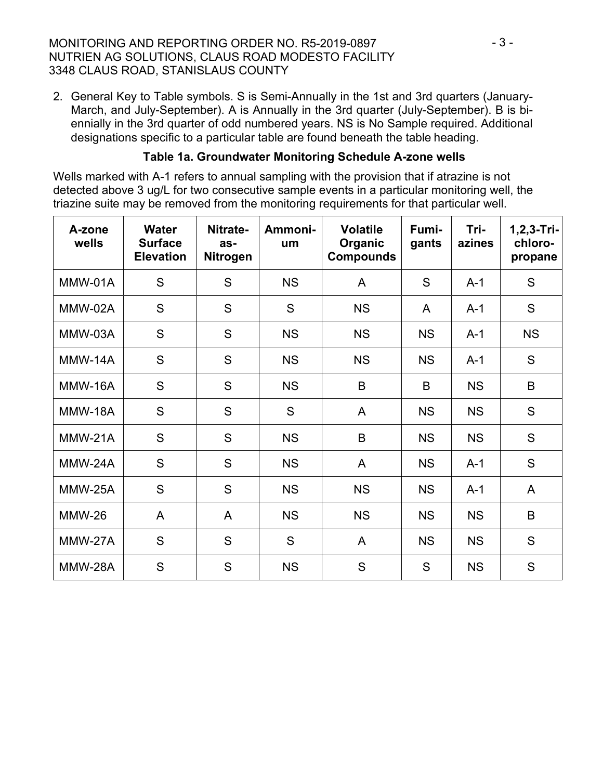## MONITORING AND REPORTING ORDER NO. R5-2019-0897  $\cdot$  3 -NUTRIEN AG SOLUTIONS, CLAUS ROAD MODESTO FACILITY 3348 CLAUS ROAD, STANISLAUS COUNTY

2. General Key to Table symbols. S is Semi-Annually in the 1st and 3rd quarters (January-March, and July-September). A is Annually in the 3rd quarter (July-September). B is biennially in the 3rd quarter of odd numbered years. NS is No Sample required. Additional designations specific to a particular table are found beneath the table heading.

## **Table 1a. Groundwater Monitoring Schedule A-zone wells**

Wells marked with A-1 refers to annual sampling with the provision that if atrazine is not detected above 3 ug/L for two consecutive sample events in a particular monitoring well, the triazine suite may be removed from the monitoring requirements for that particular well.

| A-zone<br>wells | <b>Water</b><br><b>Surface</b><br><b>Elevation</b> | Nitrate-<br>as-<br>Nitrogen | Ammoni-<br>um | <b>Volatile</b><br>Organic<br><b>Compounds</b> | Fumi-<br>gants | Tri-<br>azines | $1, 2, 3 - Tri-$<br>chloro-<br>propane |
|-----------------|----------------------------------------------------|-----------------------------|---------------|------------------------------------------------|----------------|----------------|----------------------------------------|
| MMW-01A         | S                                                  | S                           | <b>NS</b>     | A                                              | S              | $A-1$          | S                                      |
| MMW-02A         | S                                                  | S                           | S             | <b>NS</b>                                      | A              | $A-1$          | S                                      |
| MMW-03A         | S                                                  | S                           | <b>NS</b>     | <b>NS</b>                                      | <b>NS</b>      | $A-1$          | <b>NS</b>                              |
| MMW-14A         | S                                                  | S                           | <b>NS</b>     | <b>NS</b>                                      | <b>NS</b>      | $A-1$          | S                                      |
| MMW-16A         | S                                                  | S                           | <b>NS</b>     | B                                              | B              | <b>NS</b>      | B                                      |
| <b>MMW-18A</b>  | S                                                  | S                           | S             | A                                              | <b>NS</b>      | <b>NS</b>      | S                                      |
| MMW-21A         | S                                                  | S                           | <b>NS</b>     | B                                              | <b>NS</b>      | <b>NS</b>      | S                                      |
| MMW-24A         | S                                                  | S                           | <b>NS</b>     | A                                              | <b>NS</b>      | $A-1$          | S                                      |
| <b>MMW-25A</b>  | S                                                  | S                           | <b>NS</b>     | <b>NS</b>                                      | <b>NS</b>      | $A-1$          | A                                      |
| <b>MMW-26</b>   | A                                                  | A                           | <b>NS</b>     | <b>NS</b>                                      | <b>NS</b>      | <b>NS</b>      | B                                      |
| MMW-27A         | S                                                  | S                           | S             | A                                              | <b>NS</b>      | <b>NS</b>      | S                                      |
| MMW-28A         | S                                                  | S                           | <b>NS</b>     | S                                              | S              | <b>NS</b>      | S                                      |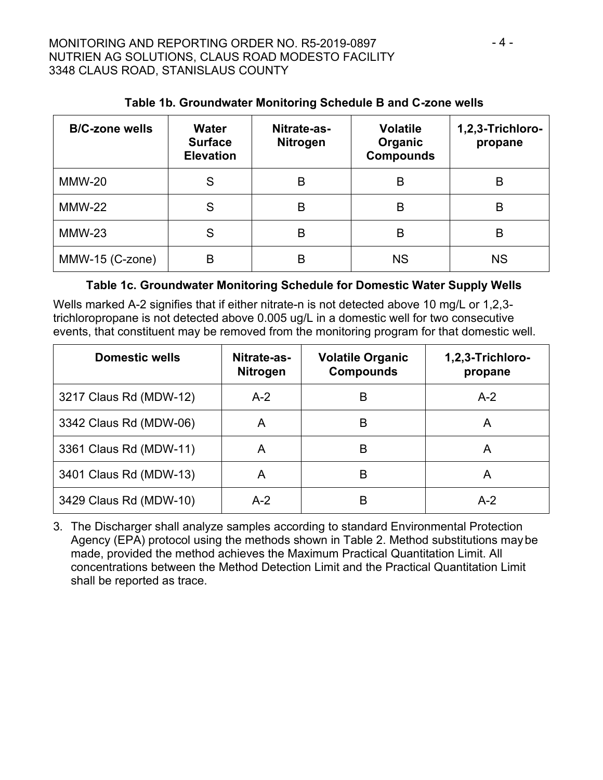| <b>B/C-zone wells</b> | <b>Water</b><br><b>Surface</b><br><b>Elevation</b> | Nitrate-as-<br><b>Nitrogen</b> | <b>Volatile</b><br>Organic<br><b>Compounds</b> | 1,2,3-Trichloro-<br>propane |
|-----------------------|----------------------------------------------------|--------------------------------|------------------------------------------------|-----------------------------|
| <b>MMW-20</b>         | S                                                  | B                              | B                                              | B                           |
| <b>MMW-22</b>         | S                                                  | В                              | B                                              | B                           |
| $MMW-23$              | S                                                  | B                              | B                                              | B                           |
| MMW-15 (C-zone)       | B                                                  | B                              | <b>NS</b>                                      | <b>NS</b>                   |

# **Table 1b. Groundwater Monitoring Schedule B and C-zone wells**

## **Table 1c. Groundwater Monitoring Schedule for Domestic Water Supply Wells**

Wells marked A-2 signifies that if either nitrate-n is not detected above 10 mg/L or 1,2,3 trichloropropane is not detected above 0.005 ug/L in a domestic well for two consecutive events, that constituent may be removed from the monitoring program for that domestic well.

| <b>Domestic wells</b>  | Nitrate-as-<br><b>Nitrogen</b> | <b>Volatile Organic</b><br><b>Compounds</b> | 1,2,3-Trichloro-<br>propane |
|------------------------|--------------------------------|---------------------------------------------|-----------------------------|
| 3217 Claus Rd (MDW-12) | $A-2$                          | B                                           | $A-2$                       |
| 3342 Claus Rd (MDW-06) | A                              | B                                           | A                           |
| 3361 Claus Rd (MDW-11) | A                              | B                                           |                             |
| 3401 Claus Rd (MDW-13) | A                              | B                                           |                             |
| 3429 Claus Rd (MDW-10) | $A-2$                          | B                                           | $A-2$                       |

3. The Discharger shall analyze samples according to standard Environmental Protection Agency (EPA) protocol using the methods shown in Table 2. Method substitutions maybe made, provided the method achieves the Maximum Practical Quantitation Limit. All concentrations between the Method Detection Limit and the Practical Quantitation Limit shall be reported as trace.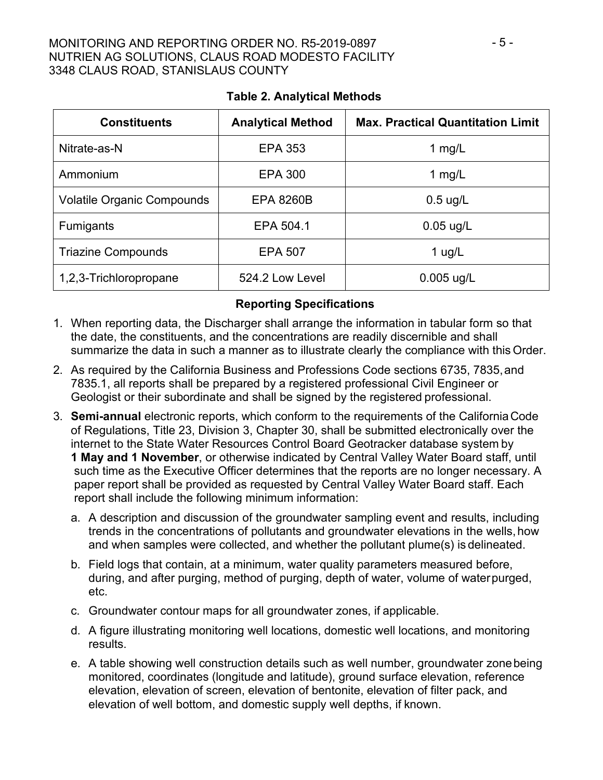### MONITORING AND REPORTING ORDER NO. R5-2019-0897  $-5$  -NUTRIEN AG SOLUTIONS, CLAUS ROAD MODESTO FACILITY 3348 CLAUS ROAD, STANISLAUS COUNTY

| <b>Constituents</b>               | <b>Analytical Method</b> | <b>Max. Practical Quantitation Limit</b> |
|-----------------------------------|--------------------------|------------------------------------------|
| Nitrate-as-N                      | <b>EPA 353</b>           | 1 $mg/L$                                 |
| Ammonium                          | <b>EPA 300</b>           | 1 $mg/L$                                 |
| <b>Volatile Organic Compounds</b> | <b>EPA 8260B</b>         | $0.5$ ug/L                               |
| <b>Fumigants</b>                  | EPA 504.1                | $0.05$ ug/L                              |
| <b>Triazine Compounds</b>         | <b>EPA 507</b>           | 1 $\mu$ g/L                              |
| 1,2,3-Trichloropropane            | 524.2 Low Level          | 0.005 ug/L                               |

# **Table 2. Analytical Methods**

# **Reporting Specifications**

- 1. When reporting data, the Discharger shall arrange the information in tabular form so that the date, the constituents, and the concentrations are readily discernible and shall summarize the data in such a manner as to illustrate clearly the compliance with this Order.
- 2. As required by the California Business and Professions Code sections 6735, 7835,and 7835.1, all reports shall be prepared by a registered professional Civil Engineer or Geologist or their subordinate and shall be signed by the registered professional.
- 3. **Semi-annual** electronic reports, which conform to the requirements of the CaliforniaCode of Regulations, Title 23, Division 3, Chapter 30, shall be submitted electronically over the internet to the State Water Resources Control Board Geotracker database system by **1 May and 1 November**, or otherwise indicated by Central Valley Water Board staff, until such time as the Executive Officer determines that the reports are no longer necessary. A paper report shall be provided as requested by Central Valley Water Board staff. Each report shall include the following minimum information:
	- a. A description and discussion of the groundwater sampling event and results, including trends in the concentrations of pollutants and groundwater elevations in the wells,how and when samples were collected, and whether the pollutant plume(s) is delineated.
	- b. Field logs that contain, at a minimum, water quality parameters measured before, during, and after purging, method of purging, depth of water, volume of waterpurged, etc.
	- c. Groundwater contour maps for all groundwater zones, if applicable.
	- d. A figure illustrating monitoring well locations, domestic well locations, and monitoring results.
	- e. A table showing well construction details such as well number, groundwater zonebeing monitored, coordinates (longitude and latitude), ground surface elevation, reference elevation, elevation of screen, elevation of bentonite, elevation of filter pack, and elevation of well bottom, and domestic supply well depths, if known.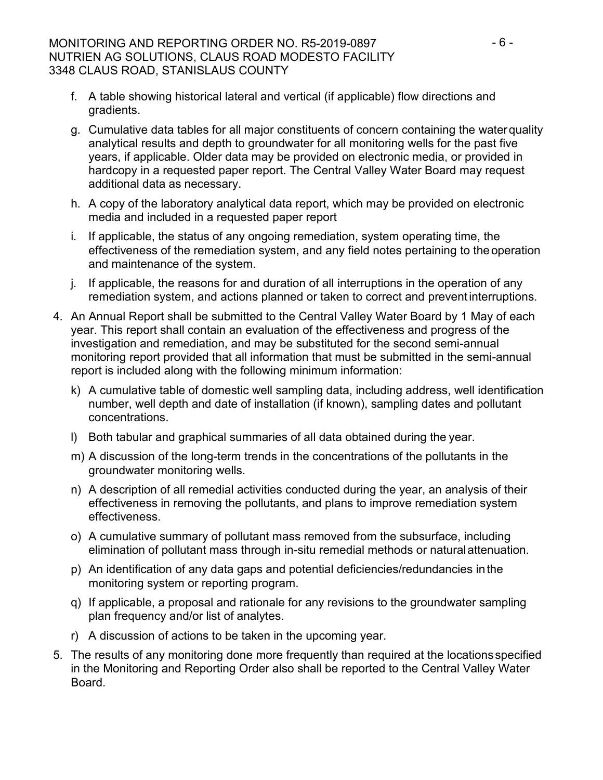## MONITORING AND REPORTING ORDER NO. R5-2019-0897  $-6 -$ NUTRIEN AG SOLUTIONS, CLAUS ROAD MODESTO FACILITY 3348 CLAUS ROAD, STANISLAUS COUNTY

- f. A table showing historical lateral and vertical (if applicable) flow directions and gradients.
- g. Cumulative data tables for all major constituents of concern containing the waterquality analytical results and depth to groundwater for all monitoring wells for the past five years, if applicable. Older data may be provided on electronic media, or provided in hardcopy in a requested paper report. The Central Valley Water Board may request additional data as necessary.
- h. A copy of the laboratory analytical data report, which may be provided on electronic media and included in a requested paper report
- i. If applicable, the status of any ongoing remediation, system operating time, the effectiveness of the remediation system, and any field notes pertaining to theoperation and maintenance of the system.
- j. If applicable, the reasons for and duration of all interruptions in the operation of any remediation system, and actions planned or taken to correct and preventinterruptions.
- 4. An Annual Report shall be submitted to the Central Valley Water Board by 1 May of each year. This report shall contain an evaluation of the effectiveness and progress of the investigation and remediation, and may be substituted for the second semi-annual monitoring report provided that all information that must be submitted in the semi-annual report is included along with the following minimum information:
	- k) A cumulative table of domestic well sampling data, including address, well identification number, well depth and date of installation (if known), sampling dates and pollutant concentrations.
	- l) Both tabular and graphical summaries of all data obtained during the year.
	- m) A discussion of the long-term trends in the concentrations of the pollutants in the groundwater monitoring wells.
	- n) A description of all remedial activities conducted during the year, an analysis of their effectiveness in removing the pollutants, and plans to improve remediation system effectiveness.
	- o) A cumulative summary of pollutant mass removed from the subsurface, including elimination of pollutant mass through in-situ remedial methods or naturalattenuation.
	- p) An identification of any data gaps and potential deficiencies/redundancies inthe monitoring system or reporting program.
	- q) If applicable, a proposal and rationale for any revisions to the groundwater sampling plan frequency and/or list of analytes.
	- r) A discussion of actions to be taken in the upcoming year.
- 5. The results of any monitoring done more frequently than required at the locationsspecified in the Monitoring and Reporting Order also shall be reported to the Central Valley Water Board.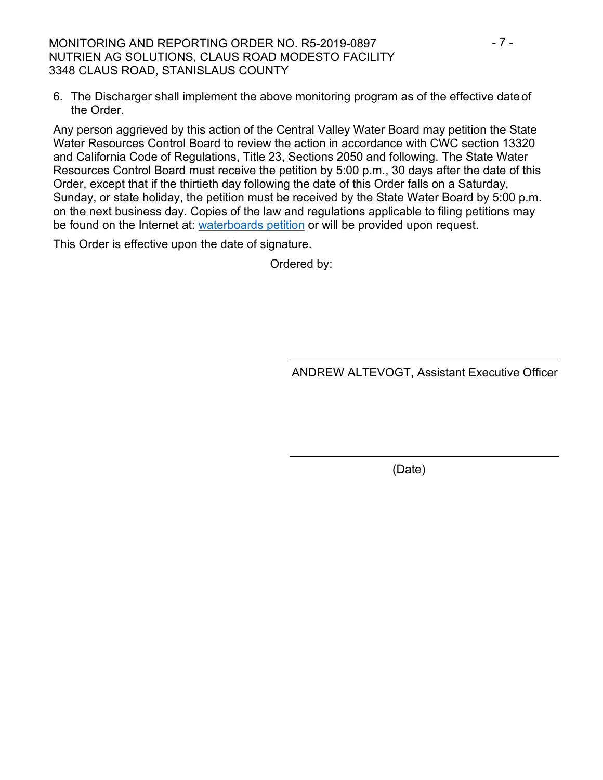MONITORING AND REPORTING ORDER NO. R5-2019-0897  $-7 -$ NUTRIEN AG SOLUTIONS, CLAUS ROAD MODESTO FACILITY 3348 CLAUS ROAD, STANISLAUS COUNTY

6. The Discharger shall implement the above monitoring program as of the effective dateof the Order.

Any person aggrieved by this action of the Central Valley Water Board may petition the State Water Resources Control Board to review the action in accordance with CWC section 13320 and California Code of Regulations, Title 23, Sections 2050 and following. The State Water Resources Control Board must receive the petition by 5:00 p.m., 30 days after the date of this Order, except that if the thirtieth day following the date of this Order falls on a Saturday, Sunday, or state holiday, the petition must be received by the State Water Board by 5:00 p.m. on the next business day. Copies of the law and regulations applicable to filing petitions may be found on the Internet at: [waterboards petition](https://www.waterboards.ca.gov/public_notices/petitions/water_quality/) or will be provided upon request.

This Order is effective upon the date of signature.

Ordered by:

ANDREW ALTEVOGT, Assistant Executive Officer

(Date)